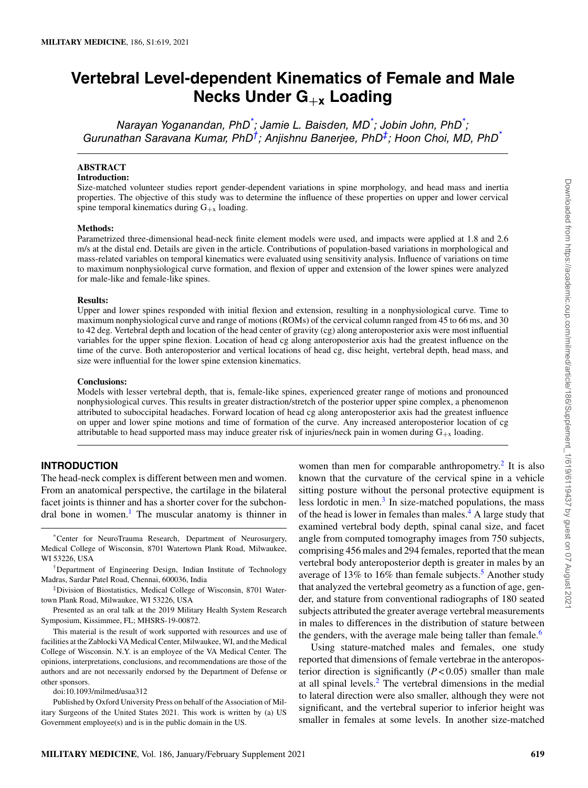# **Vertebral Level-dependent Kinematics of Female and Male Necks Under G**+**<sup>x</sup> Loading**

Narayan Yoganandan, PhD<sup>\*</sup>; Jamie L. Baisden, MD<sup>\*</sup>; Jobin John, PhD<sup>\*</sup>; Gurunathan Saravana Kumar, PhD $^\dagger$ ; Anjishnu Banerjee, PhD $^\ddag$ ; Hoon Choi, MD, PhD $^*$ 

## **ABSTRACT**

## **Introduction:**

Size-matched volunteer studies report gender-dependent variations in spine morphology, and head mass and inertia properties. The objective of this study was to determine the influence of these properties on upper and lower cervical spine temporal kinematics during  $G_{+x}$  loading.

#### **Methods:**

Parametrized three-dimensional head-neck finite element models were used, and impacts were applied at 1.8 and 2.6 m/s at the distal end. Details are given in the article. Contributions of population-based variations in morphological and mass-related variables on temporal kinematics were evaluated using sensitivity analysis. Influence of variations on time to maximum nonphysiological curve formation, and flexion of upper and extension of the lower spines were analyzed for male-like and female-like spines.

#### **Results:**

Upper and lower spines responded with initial flexion and extension, resulting in a nonphysiological curve. Time to maximum nonphysiological curve and range of motions (ROMs) of the cervical column ranged from 45 to 66 ms, and 30 to 42 deg. Vertebral depth and location of the head center of gravity (cg) along anteroposterior axis were most influential variables for the upper spine flexion. Location of head cg along anteroposterior axis had the greatest influence on the time of the curve. Both anteroposterior and vertical locations of head cg, disc height, vertebral depth, head mass, and size were influential for the lower spine extension kinematics.

#### **Conclusions:**

Models with lesser vertebral depth, that is, female-like spines, experienced greater range of motions and pronounced nonphysiological curves. This results in greater distraction/stretch of the posterior upper spine complex, a phenomenon attributed to suboccipital headaches. Forward location of head cg along anteroposterior axis had the greatest influence on upper and lower spine motions and time of formation of the curve. Any increased anteroposterior location of cg attributable to head supported mass may induce greater risk of injuries/neck pain in women during  $G_{+x}$  loading.

## **INTRODUCTION**

The head-neck complex is different between men and women. From an anatomical perspective, the cartilage in the bilateral facet joints is thinner and has a shorter cover for the subchondral bone in women.<sup>1</sup> The muscular anatomy is thinner in

\*Center for NeuroTrauma Research, Department of Neurosurgery, Medical College of Wisconsin, 8701 Watertown Plank Road, Milwaukee, WI 53226, USA

†Department of Engineering Design, Indian Institute of Technology Madras, Sardar Patel Road, Chennai, 600036, India

‡Division of Biostatistics, Medical College of Wisconsin, 8701 Watertown Plank Road, Milwaukee, WI 53226, USA

Presented as an oral talk at the 2019 Military Health System Research Symposium, Kissimmee, FL; MHSRS-19-00872.

This material is the result of work supported with resources and use of facilities at the Zablocki VA Medical Center, Milwaukee, WI, and the Medical College of Wisconsin. N.Y. is an employee of the VA Medical Center. The opinions, interpretations, conclusions, and recommendations are those of the authors and are not necessarily endorsed by the Department of Defense or other sponsors.

doi:10.1093/milmed/usaa312

Published by Oxford University Press on behalf of the Association of Military Surgeons of the United States 2021. This work is written by (a) US Government employee(s) and is in the public domain in the US.

women than men for comparable anthropometry.<sup>2</sup> It is also known that the curvature of the cervical spine in a vehicle sitting posture without the personal protective equipment is less lordotic in men. $3$  In size-matched populations, the mass of the head is lower in females than males.<sup>4</sup> A large study that examined vertebral body depth, spinal canal size, and facet angle from computed tomography images from 750 subjects, comprising 456 males and 294 females, reported that the mean vertebral body anteroposterior depth is greater in males by an average of 13% to 16% than female subjects.<sup>5</sup> Another study that analyzed the vertebral geometry as a function of age, gender, and stature from conventional radiographs of 180 seated subjects attributed the greater average vertebral measurements in males to differences in the distribution of stature between the genders, with the average male being taller than female.<sup>6</sup>

Using stature-matched males and females, one study reported that dimensions of female vertebrae in the anteroposterior direction is significantly (*P* < 0.05) smaller than male at all spinal levels.<sup>2</sup> The vertebral dimensions in the medial to lateral direction were also smaller, although they were not significant, and the vertebral superior to inferior height was smaller in females at some levels. In another size-matched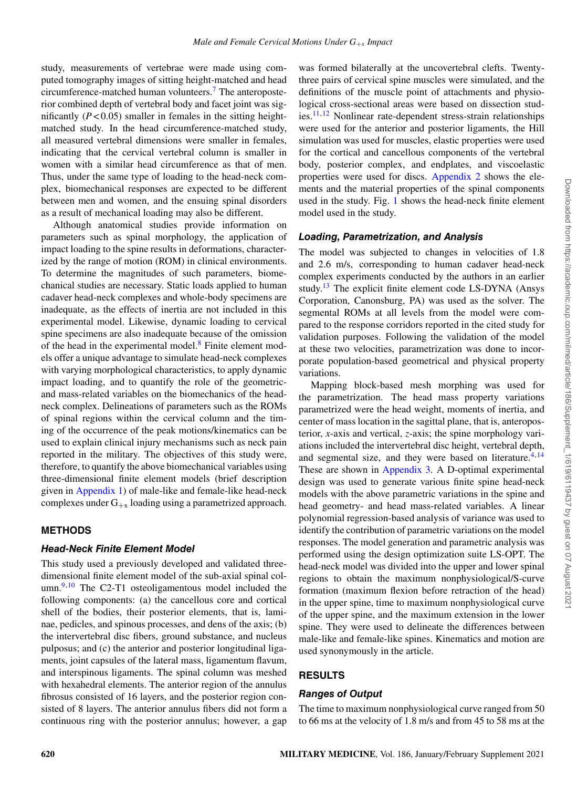study, measurements of vertebrae were made using computed tomography images of sitting height-matched and head circumference-matched human volunteers.<sup>7</sup> The anteroposterior combined depth of vertebral body and facet joint was significantly  $(P < 0.05)$  smaller in females in the sitting heightmatched study. In the head circumference-matched study, all measured vertebral dimensions were smaller in females, indicating that the cervical vertebral column is smaller in women with a similar head circumference as that of men. Thus, under the same type of loading to the head-neck complex, biomechanical responses are expected to be different between men and women, and the ensuing spinal disorders as a result of mechanical loading may also be different.

Although anatomical studies provide information on parameters such as spinal morphology, the application of impact loading to the spine results in deformations, characterized by the range of motion (ROM) in clinical environments. To determine the magnitudes of such parameters, biomechanical studies are necessary. Static loads applied to human cadaver head-neck complexes and whole-body specimens are inadequate, as the effects of inertia are not included in this experimental model. Likewise, dynamic loading to cervical spine specimens are also inadequate because of the omission of the head in the experimental model. $\delta$  Finite element models offer a unique advantage to simulate head-neck complexes with varying morphological characteristics, to apply dynamic impact loading, and to quantify the role of the geometricand mass-related variables on the biomechanics of the headneck complex. Delineations of parameters such as the ROMs of spinal regions within the cervical column and the timing of the occurrence of the peak motions/kinematics can be used to explain clinical injury mechanisms such as neck pain reported in the military. The objectives of this study were, therefore, to quantify the above biomechanical variables using three-dimensional finite element models (brief description given in Appendix 1) of male-like and female-like head-neck complexes under  $G_{+x}$  loading using a parametrized approach.

## **METHODS**

## **Head-Neck Finite Element Model**

This study used a previously developed and validated threedimensional finite element model of the sub-axial spinal col $umn.<sup>9,10</sup>$  The C2-T1 osteoligamentous model included the following components: (a) the cancellous core and cortical shell of the bodies, their posterior elements, that is, laminae, pedicles, and spinous processes, and dens of the axis; (b) the intervertebral disc fibers, ground substance, and nucleus pulposus; and (c) the anterior and posterior longitudinal ligaments, joint capsules of the lateral mass, ligamentum flavum, and interspinous ligaments. The spinal column was meshed with hexahedral elements. The anterior region of the annulus fibrosus consisted of 16 layers, and the posterior region consisted of 8 layers. The anterior annulus fibers did not form a continuous ring with the posterior annulus; however, a gap

was formed bilaterally at the uncovertebral clefts. Twentythree pairs of cervical spine muscles were simulated, and the definitions of the muscle point of attachments and physiological cross-sectional areas were based on dissection studies.11,12 Nonlinear rate-dependent stress-strain relationships were used for the anterior and posterior ligaments, the Hill simulation was used for muscles, elastic properties were used for the cortical and cancellous components of the vertebral body, posterior complex, and endplates, and viscoelastic properties were used for discs. Appendix 2 shows the elements and the material properties of the spinal components used in the study. Fig. 1 shows the head-neck finite element model used in the study.

## **Loading, Parametrization, and Analysis**

The model was subjected to changes in velocities of 1.8 and 2.6 m/s, corresponding to human cadaver head-neck complex experiments conducted by the authors in an earlier study.<sup>13</sup> The explicit finite element code LS-DYNA (Ansys Corporation, Canonsburg, PA) was used as the solver. The segmental ROMs at all levels from the model were compared to the response corridors reported in the cited study for validation purposes. Following the validation of the model at these two velocities, parametrization was done to incorporate population-based geometrical and physical property variations.

Mapping block-based mesh morphing was used for the parametrization. The head mass property variations parametrized were the head weight, moments of inertia, and center of mass location in the sagittal plane, that is, anteroposterior, *x*-axis and vertical, *z*-axis; the spine morphology variations included the intervertebral disc height, vertebral depth, and segmental size, and they were based on literature.<sup>4,14</sup> These are shown in Appendix 3. A D-optimal experimental design was used to generate various finite spine head-neck models with the above parametric variations in the spine and head geometry- and head mass-related variables. A linear polynomial regression-based analysis of variance was used to identify the contribution of parametric variations on the model responses. The model generation and parametric analysis was performed using the design optimization suite LS-OPT. The head-neck model was divided into the upper and lower spinal regions to obtain the maximum nonphysiological/S-curve formation (maximum flexion before retraction of the head) in the upper spine, time to maximum nonphysiological curve of the upper spine, and the maximum extension in the lower spine. They were used to delineate the differences between male-like and female-like spines. Kinematics and motion are used synonymously in the article.

## **RESULTS**

## **Ranges of Output**

The time to maximum nonphysiological curve ranged from 50 to 66 ms at the velocity of 1.8 m/s and from 45 to 58 ms at the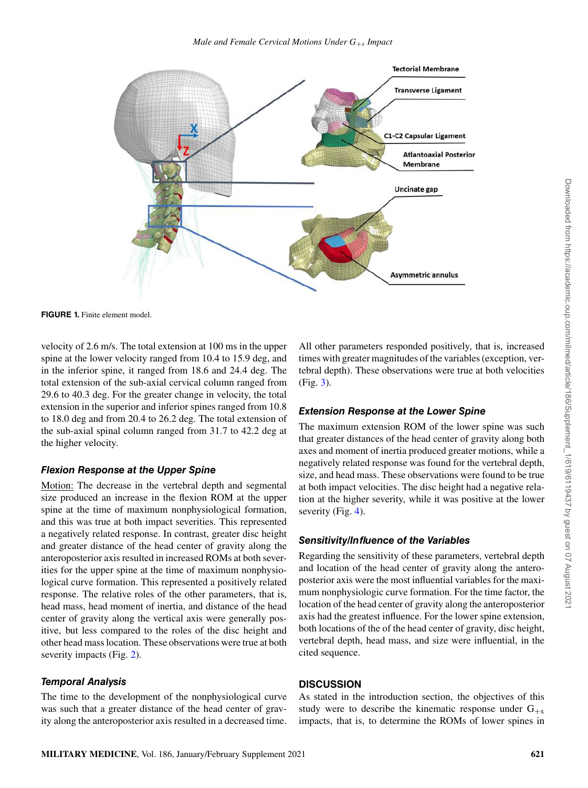

**FIGURE 1.** Finite element model.

velocity of 2.6 m/s. The total extension at 100 ms in the upper spine at the lower velocity ranged from 10.4 to 15.9 deg, and in the inferior spine, it ranged from 18.6 and 24.4 deg. The total extension of the sub-axial cervical column ranged from 29.6 to 40.3 deg. For the greater change in velocity, the total extension in the superior and inferior spines ranged from 10.8 to 18.0 deg and from 20.4 to 26.2 deg. The total extension of the sub-axial spinal column ranged from 31.7 to 42.2 deg at the higher velocity.

# **Flexion Response at the Upper Spine**

Motion: The decrease in the vertebral depth and segmental size produced an increase in the flexion ROM at the upper spine at the time of maximum nonphysiological formation, and this was true at both impact severities. This represented a negatively related response. In contrast, greater disc height and greater distance of the head center of gravity along the anteroposterior axis resulted in increased ROMs at both severities for the upper spine at the time of maximum nonphysiological curve formation. This represented a positively related response. The relative roles of the other parameters, that is, head mass, head moment of inertia, and distance of the head center of gravity along the vertical axis were generally positive, but less compared to the roles of the disc height and other head mass location. These observations were true at both severity impacts (Fig. 2).

# **Temporal Analysis**

The time to the development of the nonphysiological curve was such that a greater distance of the head center of gravity along the anteroposterior axis resulted in a decreased time.

All other parameters responded positively, that is, increased times with greater magnitudes of the variables (exception, vertebral depth). These observations were true at both velocities (Fig. 3).

# **Extension Response at the Lower Spine**

The maximum extension ROM of the lower spine was such that greater distances of the head center of gravity along both axes and moment of inertia produced greater motions, while a negatively related response was found for the vertebral depth, size, and head mass. These observations were found to be true at both impact velocities. The disc height had a negative relation at the higher severity, while it was positive at the lower severity (Fig. 4).

# **Sensitivity/Influence of the Variables**

Regarding the sensitivity of these parameters, vertebral depth and location of the head center of gravity along the anteroposterior axis were the most influential variables for the maximum nonphysiologic curve formation. For the time factor, the location of the head center of gravity along the anteroposterior axis had the greatest influence. For the lower spine extension, both locations of the of the head center of gravity, disc height, vertebral depth, head mass, and size were influential, in the cited sequence.

# **DISCUSSION**

As stated in the introduction section, the objectives of this study were to describe the kinematic response under  $G_{+x}$ impacts, that is, to determine the ROMs of lower spines in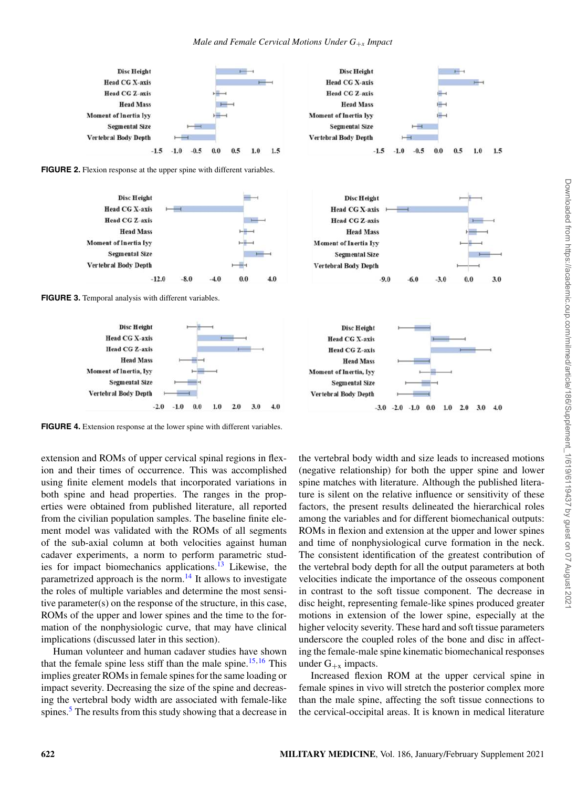

**FIGURE 2.** Flexion response at the upper spine with different variables.







**FIGURE 4.** Extension response at the lower spine with different variables.

extension and ROMs of upper cervical spinal regions in flexion and their times of occurrence. This was accomplished using finite element models that incorporated variations in both spine and head properties. The ranges in the properties were obtained from published literature, all reported from the civilian population samples. The baseline finite element model was validated with the ROMs of all segments of the sub-axial column at both velocities against human cadaver experiments, a norm to perform parametric studies for impact biomechanics applications.<sup>13</sup> Likewise, the parametrized approach is the norm. $14$  It allows to investigate the roles of multiple variables and determine the most sensitive parameter(s) on the response of the structure, in this case, ROMs of the upper and lower spines and the time to the formation of the nonphysiologic curve, that may have clinical implications (discussed later in this section).

Human volunteer and human cadaver studies have shown that the female spine less stiff than the male spine.<sup>15,16</sup> This implies greater ROMs in female spines for the same loading or impact severity. Decreasing the size of the spine and decreasing the vertebral body width are associated with female-like spines.<sup>5</sup> The results from this study showing that a decrease in







the vertebral body width and size leads to increased motions (negative relationship) for both the upper spine and lower spine matches with literature. Although the published literature is silent on the relative influence or sensitivity of these factors, the present results delineated the hierarchical roles among the variables and for different biomechanical outputs: ROMs in flexion and extension at the upper and lower spines and time of nonphysiological curve formation in the neck. The consistent identification of the greatest contribution of the vertebral body depth for all the output parameters at both velocities indicate the importance of the osseous component in contrast to the soft tissue component. The decrease in disc height, representing female-like spines produced greater motions in extension of the lower spine, especially at the higher velocity severity. These hard and soft tissue parameters underscore the coupled roles of the bone and disc in affecting the female-male spine kinematic biomechanical responses under  $G_{+x}$  impacts.

Increased flexion ROM at the upper cervical spine in female spines in vivo will stretch the posterior complex more than the male spine, affecting the soft tissue connections to the cervical-occipital areas. It is known in medical literature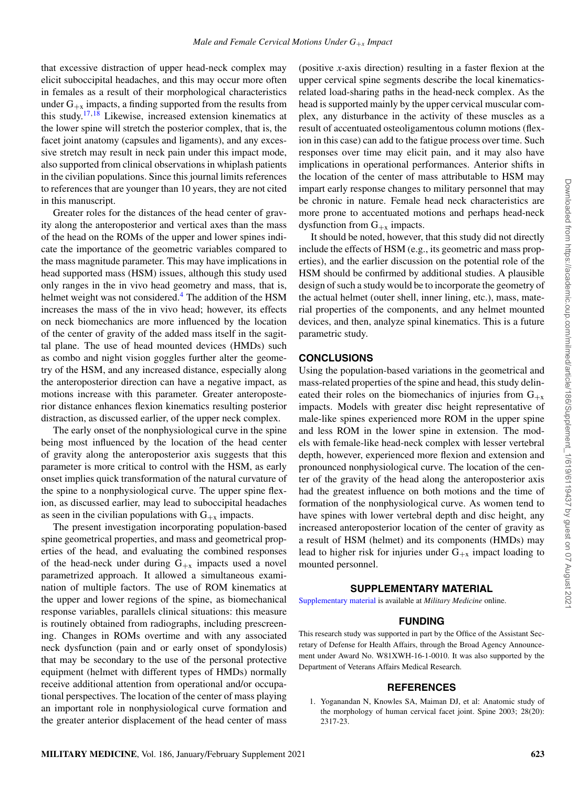that excessive distraction of upper head-neck complex may elicit suboccipital headaches, and this may occur more often in females as a result of their morphological characteristics under  $G_{+x}$  impacts, a finding supported from the results from this study.17,18 Likewise, increased extension kinematics at the lower spine will stretch the posterior complex, that is, the facet joint anatomy (capsules and ligaments), and any excessive stretch may result in neck pain under this impact mode, also supported from clinical observations in whiplash patients in the civilian populations. Since this journal limits references to references that are younger than 10 years, they are not cited in this manuscript.

Greater roles for the distances of the head center of gravity along the anteroposterior and vertical axes than the mass of the head on the ROMs of the upper and lower spines indicate the importance of the geometric variables compared to the mass magnitude parameter. This may have implications in head supported mass (HSM) issues, although this study used only ranges in the in vivo head geometry and mass, that is, helmet weight was not considered.<sup>4</sup> The addition of the HSM increases the mass of the in vivo head; however, its effects on neck biomechanics are more influenced by the location of the center of gravity of the added mass itself in the sagittal plane. The use of head mounted devices (HMDs) such as combo and night vision goggles further alter the geometry of the HSM, and any increased distance, especially along the anteroposterior direction can have a negative impact, as motions increase with this parameter. Greater anteroposterior distance enhances flexion kinematics resulting posterior distraction, as discussed earlier, of the upper neck complex.

The early onset of the nonphysiological curve in the spine being most influenced by the location of the head center of gravity along the anteroposterior axis suggests that this parameter is more critical to control with the HSM, as early onset implies quick transformation of the natural curvature of the spine to a nonphysiological curve. The upper spine flexion, as discussed earlier, may lead to suboccipital headaches as seen in the civilian populations with  $G_{+x}$  impacts.

The present investigation incorporating population-based spine geometrical properties, and mass and geometrical properties of the head, and evaluating the combined responses of the head-neck under during  $G_{+x}$  impacts used a novel parametrized approach. It allowed a simultaneous examination of multiple factors. The use of ROM kinematics at the upper and lower regions of the spine, as biomechanical response variables, parallels clinical situations: this measure is routinely obtained from radiographs, including prescreening. Changes in ROMs overtime and with any associated neck dysfunction (pain and or early onset of spondylosis) that may be secondary to the use of the personal protective equipment (helmet with different types of HMDs) normally receive additional attention from operational and/or occupational perspectives. The location of the center of mass playing an important role in nonphysiological curve formation and the greater anterior displacement of the head center of mass

(positive *x*-axis direction) resulting in a faster flexion at the upper cervical spine segments describe the local kinematicsrelated load-sharing paths in the head-neck complex. As the head is supported mainly by the upper cervical muscular complex, any disturbance in the activity of these muscles as a result of accentuated osteoligamentous column motions (flexion in this case) can add to the fatigue process over time. Such responses over time may elicit pain, and it may also have implications in operational performances. Anterior shifts in the location of the center of mass attributable to HSM may impart early response changes to military personnel that may be chronic in nature. Female head neck characteristics are more prone to accentuated motions and perhaps head-neck dysfunction from  $G_{+x}$  impacts.

It should be noted, however, that this study did not directly include the effects of HSM (e.g., its geometric and mass properties), and the earlier discussion on the potential role of the HSM should be confirmed by additional studies. A plausible design of such a study would be to incorporate the geometry of the actual helmet (outer shell, inner lining, etc.), mass, material properties of the components, and any helmet mounted devices, and then, analyze spinal kinematics. This is a future parametric study.

## **CONCLUSIONS**

Using the population-based variations in the geometrical and mass-related properties of the spine and head, this study delineated their roles on the biomechanics of injuries from  $G_{+x}$ impacts. Models with greater disc height representative of male-like spines experienced more ROM in the upper spine and less ROM in the lower spine in extension. The models with female-like head-neck complex with lesser vertebral depth, however, experienced more flexion and extension and pronounced nonphysiological curve. The location of the center of the gravity of the head along the anteroposterior axis had the greatest influence on both motions and the time of formation of the nonphysiological curve. As women tend to have spines with lower vertebral depth and disc height, any increased anteroposterior location of the center of gravity as a result of HSM (helmet) and its components (HMDs) may lead to higher risk for injuries under  $G_{+x}$  impact loading to mounted personnel.

#### **SUPPLEMENTARY MATERIAL**

Supplementary material is available at *Military Medicine* online.

#### **FUNDING**

This research study was supported in part by the Office of the Assistant Secretary of Defense for Health Affairs, through the Broad Agency Announcement under Award No. W81XWH-16-1-0010. It was also supported by the Department of Veterans Affairs Medical Research.

#### **REFERENCES**

1. Yoganandan N, Knowles SA, Maiman DJ, et al: Anatomic study of the morphology of human cervical facet joint. Spine 2003; 28(20): 2317-23.